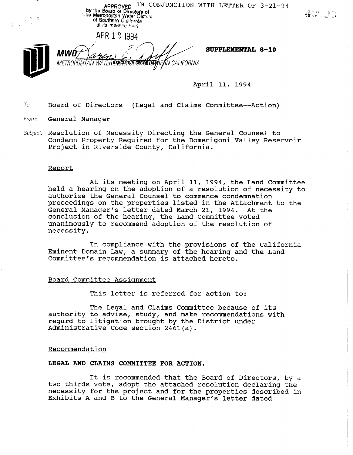APPROVED IN CONJUNCTION WITH LETTER OF  $3-21-94$ <br>by the Board of Directors of<br>The Metropolits evident District<br>of Southern California at its meeting held

APR 12 1994

停止者

METROPOLYTAN WATER EXECUTIVE SEEGETERHEAN CALIFORNIA

SUPPLEMENTAL 8-10

April 11, 1994

To: Board of Directors (Legal and Claims Committee--Action)

From: **General Manager** 

Subject: Resolution of Necessity Directing the General Counsel to Condemn Property Required for the Domenigoni Valley Reservoir Project in Riverside County, California.

#### Report

At its meeting on April 11, 1994, the Land Committee held a hearing on the adoption of a resolution of necessity to authorize the General Counsel to commence condemnation proceedings on the properties listed in the Attachment to the General Manager's letter dated March 21, 1994. At the conclusion of the hearing, the Land Committee voted unanimously to recommend adoption of the resolution of necessity.

In compliance with the provisions of the California Eminent Domain Law, a summary of the hearing and the Land Committee's recommendation is attached hereto.

#### Board Committee Assiqnment

This letter is referred for action to:

The Legal and Claims Committee because of its authority to advise, study, and make recommendations with regard to litigation brought by the District under Administrative Code section 2461(a).

#### Recommendation

### LEGAL AND CLAIMS COMMITTEE FOR ACTION.

It is recommended that the Board of Directors, by a two thirds vote, adopt the attached resolution declaring the necessity for the project and for the properties described in Exhibits A and B to the General Manager's letter dated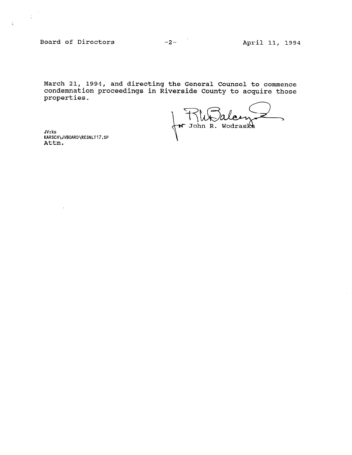Board of Directors -2- April 11, 1994

 $\sim$  $\sim 200$ 

 $\frac{1}{\hbar}$ 

 $\bar{z}$ 

March 21, 1994, and directing the General Counsel to commence condemnation proceedings in Riverside County to acquire those properties.

Ź JV:ks<br>KARSCH\JVBOARD\RESNLT17.SP<br>Attm.

JV: ks KARSCH\JVBOARD\RESNLT17.SP

J.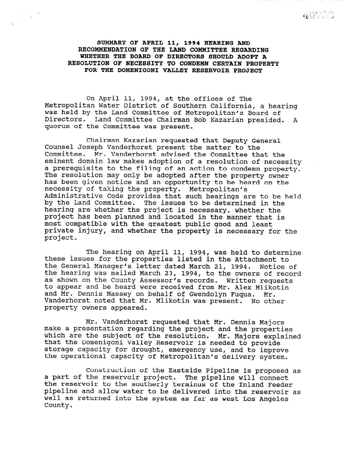SUMMARY OF APRIL 11, 1994 HEARING AND RECOMMENDATION OF THE LAND COMMITTEE REGARDING WHETHER THE BOARD OF DIRECTORS SHOULD ADOPT A RESOLUTION OF NECESSITY TO CONDEMN CERTAIN PROPERTY FOR THE DOMENIGONI VALLEY RESERVOIR PROJECT

 $\mathcal{S}=\mathcal{F}^{\mathcal{S}}$ 

t.

40220

On April 11, 1994, at the offices of The Metropolitan Water District of Southern California, a hearing was held by the Land Committee of Metropolitan's Board of Directors. Land Committee Chairman Bob Kazarian presided. A quorum of the Committee was present.

Chairman Kazarian requested that Deputy General Counsel Joseph Vanderhorst present the matter to the Committee. Mr. Vanderhorst advised the Committee that the eminent domain law makes adoption of a resolution of necessity a prerequisite to the filing of an action to condemn property. The resolution may only be adopted after the property owner has been given notice and an opportunity to be heard on the necessity of taking the property. Metropolitan's Administrative Code provides that such hearings are to be held by the Land Committee. The issues to be determined in the hearing are whether the project is necessary, whether the project has been planned and located in the manner that is most compatible with the greatest public good and least most temperasie with the greetest pusite good and least<br>private injury, and whether the property is necessary for the project.

The hearing on April 11, 1994, was held to determine these issues for the properties listed in the Attachment to the General Manager's letter dated March 21, 1994. Notice of the hearing was mailed March 23, 1994, to the owners of record as shown on the County Assessor's records. Written requests to appear and be heard were received from Mr. Alex Mlikotin and Mr. Dennis Massey on behalf of Gwendolyn Fuqua. Mr. Vanderhorst noted that Mr. Mlikotin was present. No other property owners appeared.

Mr. Vanderhorst requested that Mr. Dennis Majors make a presentation regarding the project and the properties make a presentation regarding the project and the properties<br>which are the subject of the resolution. Mr. Majors explain which are the Subject of the resolution. Mr. Majors expected to provide to provide the to provide the to provide the to provide the to provide the to provide the to provide the to provide the to provide the to provide the that the Domenigoni Valley Reservoir is needed to provide storage capacity for drought, emergency use, and to improve the operational capacity of Metropolitan's delivery system.

Construction of the Eastside Pipeline is proposed as construction of the Eastside Pipeline is propose a part of the reservoir project. The piperine will connect<br>the reservoir to the southerly terminus of the Inland Feeder the reservoir to the southerly terminus of the Inland Feeder pipeline and allow water to be delivered into the reservoir as well as returned into the system as far as west Los Angeles County.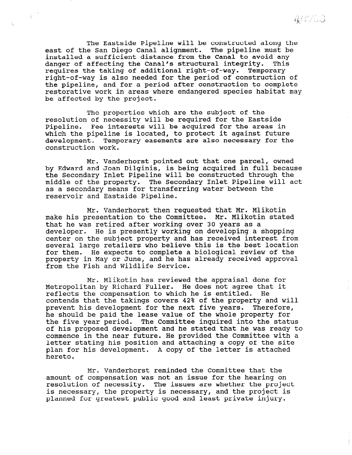The Eastside Pipeline will be constructed along the east of the San Diego Canal alignment. The pipeline must be installed a sufficient distance from the Canal to avoid any danger of affecting the Canal's structural integrity. This requires the taking of additional right-of-way. Temporary right-of-way is also needed for the period of construction of the pipeline, and for a period after construction to complete restorative work in areas where endangered species habitat may be affected by the project.

 $\sim \beta$  .

 $\sim$ 

The properties which are the subject of the resolution of necessity will be required for the Eastside Pipeline. Fee interests will be acquired for the areas in which the pipeline is located, to protect it against future development. Temporary easements are also necessary for the construction work.

Mr. Vanderhorst pointed out that one parcel, owned by Edward and Joan Dilginis, is being acquired in full because the Secondary Inlet Pipeline will be constructed through the middle of the property. The Secondary Inlet Pipeline will act as a secondary means for transferring water between the reservoir and Eastside Pipeline.

Mr. Vanderhorst then requested that Mr. Mlikotin make his presentation to the Committee. Mr. Mlikotin stated that he was retired after working over 30 years as a developer. He is presently working on developing a shopping center on the subject property and has received interest from several large retailers who believe this is the best location for them. He expects to complete a biological review of the property in May or June, and he has already received approval from the Fish and Wildlife Service.

Mr. Mlikotin has reviewed the appraisal done for Metropolitan by Richard Fuller. He does not agree that it reflects the compensation to which he is entitled. He contends that the takings covers 42% of the property and will prevent his development for the next five years. Therefore, he should be paid the lease value of the whole property for the five year period. The Committee inquired into the status of his proposed development and he stated that he was ready to commence in the near future. He provided the Committee with a letter stating his position and attaching a copy of the site plan for his development. A copy of the letter is attached hereto.

Mr. Vanderhorst reminded the Committee that the amount of compensation was not an issue for the hearing on resolution of necessity. The issues are whether the project is necessary, the property is necessary, and the project is planned for greatest public good and least private injury.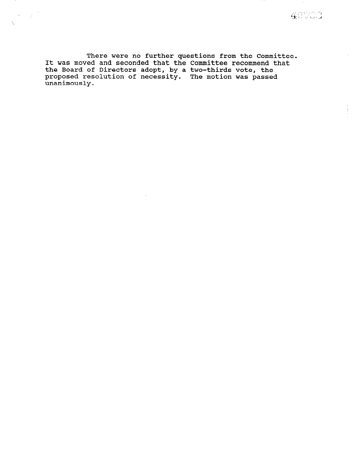$\hat{\theta}$ 

ŧ

There were no further questions from the Committe It was moved and seconded that the Committee recommend tha the Board of Directors adopt, by a two-thirds vote, the proposed resolution of necessity. The motion was passe unanimously.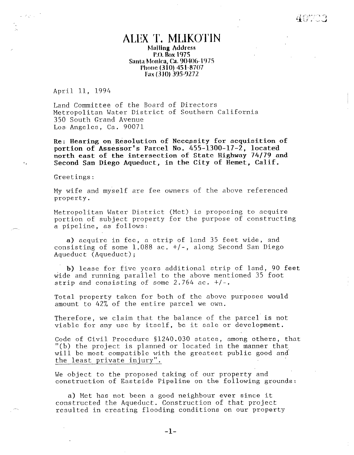# ALEX T. MLIKOTIN **Malling Address** P.O. Box 1975 Santa Monica, Ca. 90406-1975 I'llone (3 10) 45 I-8707 Fax (310) 395-9272

April II, 1994

 $Z_{\rm{N}}\simeq 10^5$ 

 $\epsilon$  .

Land Committee of the Board of Directors Metropolitan Water District of Southern California 350 South Grand Avenue Los Angeles, Ca. 90071

Re: Hearing on Resolution of Necessity for acquisition of portion of Assessor's Parcel No. 455-1300-17-2, located north east of the intersection of State Highway 74/79 and Second San Diego Aqueduct, in the City of Hemet, Calif.

Greetings:

My wife and myself are fee owners of the above referenced property.

Metropolitan Water District (Met) is proposing to acquire portion of subject property for the purpose of construction of the purpose of construction of the purpose of  $\mathbb{R}^n$ portion of subject p

 $\alpha$  actually in few in few in few in few in  $\alpha$ a) acquire in lee, a strip of fand SS leet wide, and consisting of some  $1.088$  ac.  $+/$ -, along Second San Diego<br>Aqueduct (Aqueduct);

b) lease for five years additional strip of land, 90 feet b) lease for five years additional strip of land, 90 wide and running parallel to the above mentioned 35 foot strip and consisting of some  $2.764$  ac.  $+/-.$ 

Total property taken for both of the above purposes would Total property taken for both of the above  $\overline{\phantom{a}}$ 

Therefore, we can consider the balance of the parameter of the parcel is not the parameter of the parameter  $\alpha$ Theretore, we claim that the balance of the parcel is

Code of Civil Procedure §1240.030 states, among others, that "(b) the project is planned or located in the manner that will be most compatible with the greatest public good and the least private injury".

Code of Civil Procedure 51240.030 states, among others, that

We object to the proposed taking of our property and construction of Eastside Pipeline on the following grounds:

 $W$  object to the proposed taking of our property and  $p$ 

a) Met has not been a good neighbour ever since it constructed the Aqueduct. Construction of that project resulted in creating flooding conditions on our property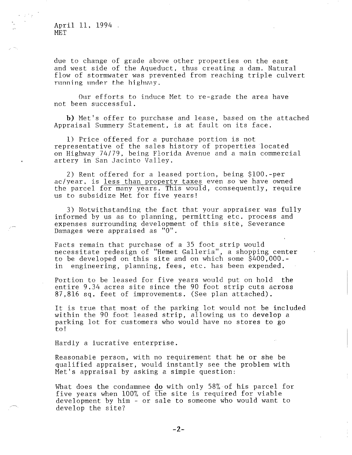April 11, 1994 MET

due to change of grade above other properties on the east and west side of the Aqueduct, thus creating a dam. Natural flow of stormwater was prevented from reaching triple culvert running under the highway.

Our efforts to induce Met to re-grade the area have not been successful.

b) Met's offer to purchase and lease, based on the attached Appraisal Summery Statement, is at fault on its face.

1) Price offered for a purchase portion is not representative of the sales history of properties located on Highway 74/79, being Florida Avenue and a main commercial artery in San Jacinto Valley.

2) Rent offered for a leased portion, being \$lOO.-per ac/year, is less than property taxes even so we have owned the parcel for many years. This would, consequently, require us to subsidize Met for five years!

3) Notwithstanding the fact that your appraiser was fully informed by us as to planning, permitting etc. process and expenses surrounding development of this site, Severance Damages were appraised as "0".

Facts remain that purchase of a 35 foot strip would necessitate redesign of "Hemet Galleria", a shopping center to be developed on this site and on which some \$400,000. in engineering, planning, fees, etc. has been expended.

Portion to be leased for five years would put on hold the entire 9.34 acres site since the 90 foot strip cuts across 87,816 sq. feet of improvements. (See plan attached).

It is true that most of the parking lot would not be included within the 90 foot leased strip, allowing us to develop a parking lot for customers who would have no stores to go to!

Hardly a lucrative enterprise.

Reasonable person, with no requirement that he or she be qualified appraiser, would instantly see the problem with Met's appraisal by asking a simple question:

What does the condamnee do with only 58% of his parcel for when we still contained when  $\frac{100\%}{\pi}$  of  $\frac{1}{2}$  is required for viable  $\mu$  and  $\mu$  and  $\mu$  or the site is required want to  $\mu$ development by him - or sale to someone who would want to develop the site?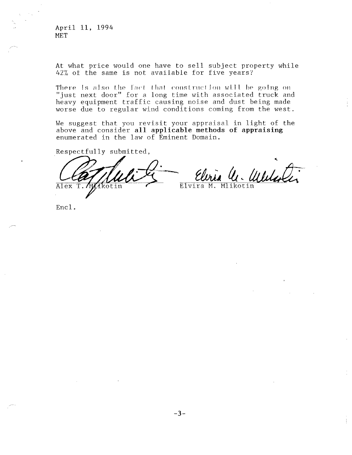April 11, 1994 **MET** 

At what price would one have to sell subject property while 42% of the same is not available for five years?

There is also the fact that construction will be going on "just next door" for a long time with associated truck and heavy equipment traffic causing noise and dust being made worse due to regular wind conditions coming from the west.

We suggest that you revisit your appraisal in light of the above and consider all applicable methods of appraising enumerated in the law of Eminent Domain.

Respectfully submitted,

Alex T. MAkotin

U. Weller Elvira M. Mlikotin

Encl.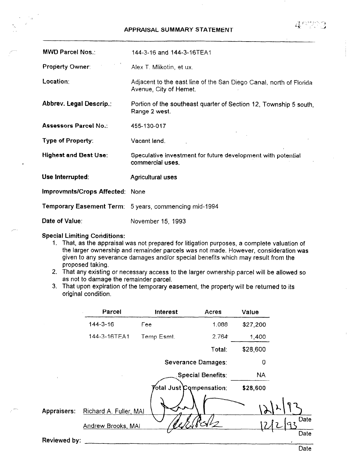### APPRAISAL SUMMARY STATEMENT

 $A^{\prime\prime\prime}$  :  $22$ 

| <b>MWD Parcel Nos.:</b>         | 144-3-16 and 144-3-16TEA1                                                                    |
|---------------------------------|----------------------------------------------------------------------------------------------|
| <b>Property Owner:</b>          | Alex T. Mlikotin, et ux.                                                                     |
| Location:                       | Adjacent to the east line of the San Diego Canal, north of Florida<br>Avenue, City of Hemet. |
| Abbrev. Legal Descrip.:         | Portion of the southeast quarter of Section 12, Township 5 south,<br>Range 2 west.           |
| Assessors Parcel No.:           | 455-130-017                                                                                  |
| <b>Type of Property:</b>        | Vacant land.                                                                                 |
| <b>Highest and Best Use:</b>    | Speculative investment for future development with potential<br>commercial uses.             |
| Use Interrupted:                | Agricultural uses                                                                            |
| Improvmnts/Crops Affected: None |                                                                                              |
|                                 | <b>Temporary Easement Term:</b> 5 years, commencing mid-1994                                 |
| Date of Value:                  | November 15, 1993                                                                            |

## Special Limiting Conditions:

- 1. That, as the approximation purposes, as the approximation purposes, a complete value of  $\alpha$ That, as the appraisal was not prepared for inigation purposes, a complete valuation or the larger ownership and remainder parcels was not made. However, consideration was given to any severance damages and/or special benefits which may result from the proposed taking.  $2.7$  That any existing or necessary access to the larger ownership parcel will be allowed so the allowed solid be allowed solid be allowed solid be allowed solid be allowed solid be allowed solid be allowed solid be allo
- mat any existing or necessary access  $\overline{a}$  as not to damage the remainder parcel.
- rnat upon expir

|                     | Parcel                    | <b>Interest</b>                  | <b>Acres</b>             | Value    |                    |
|---------------------|---------------------------|----------------------------------|--------------------------|----------|--------------------|
|                     | $144 - 3 - 16$            | Fee                              | 1.088                    | \$27,200 |                    |
|                     | 144-3-16TEA1              | Temp Esmt.                       | 2.764                    | 1,400    |                    |
|                     |                           |                                  | Total:                   | \$28,600 |                    |
|                     |                           |                                  | Severance Damages:       | 0        |                    |
| $\mathbf{t}$        |                           |                                  | <b>Special Benefits:</b> | NA       |                    |
|                     |                           | $\%$ tal Just $\,$ Compensation: |                          | \$28,600 |                    |
| <b>Appraisers:</b>  | Richard A. Fuller, MAI    |                                  |                          |          |                    |
|                     | <b>Andrew Brooks, MAI</b> |                                  |                          |          | Date               |
| <b>Reviewed by:</b> |                           |                                  |                          |          | Date<br>$\epsilon$ |